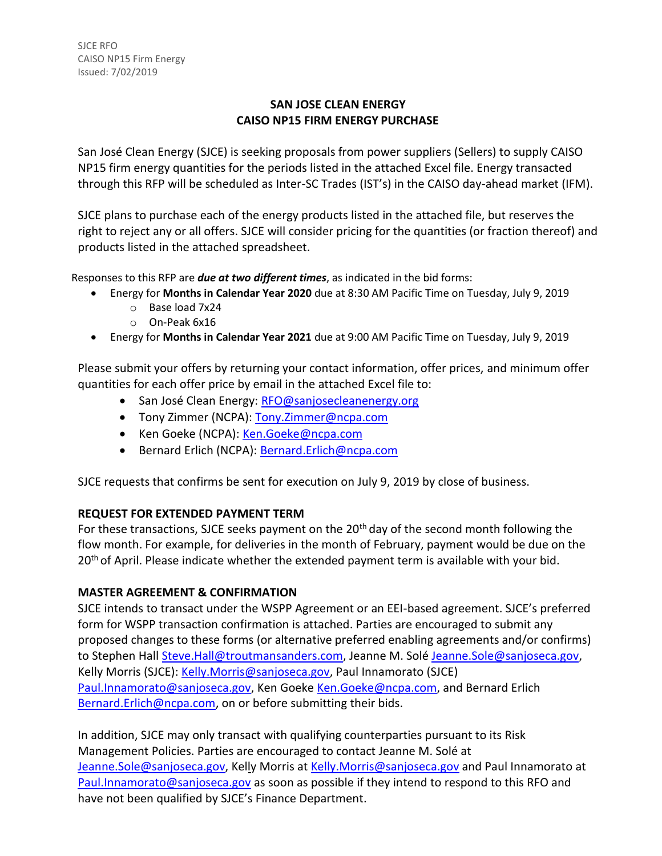## **SAN JOSE CLEAN ENERGY CAISO NP15 FIRM ENERGY PURCHASE**

San José Clean Energy (SJCE) is seeking proposals from power suppliers (Sellers) to supply CAISO NP15 firm energy quantities for the periods listed in the attached Excel file. Energy transacted through this RFP will be scheduled as Inter-SC Trades (IST's) in the CAISO day-ahead market (IFM).

SJCE plans to purchase each of the energy products listed in the attached file, but reserves the right to reject any or all offers. SJCE will consider pricing for the quantities (or fraction thereof) and products listed in the attached spreadsheet.

Responses to this RFP are *due at two different times*, as indicated in the bid forms:

- Energy for **Months in Calendar Year 2020** due at 8:30 AM Pacific Time on Tuesday, July 9, 2019
	- o Base load 7x24
	- o On-Peak 6x16
- Energy for **Months in Calendar Year 2021** due at 9:00 AM Pacific Time on Tuesday, July 9, 2019

Please submit your offers by returning your contact information, offer prices, and minimum offer quantities for each offer price by email in the attached Excel file to:

- San José Clean Energy: [RFO@sanjosecleanenergy.org](mailto:RFO@sanjosecleanenergy.org)
- Tony Zimmer (NCPA): [Tony.Zimmer@ncpa.com](mailto:Tony.Zimmer@ncpa.com)
- Ken Goeke (NCPA): [Ken.Goeke@ncpa.com](mailto:Ken.Goeke@ncpa.com)
- **•** Bernard Erlich (NCPA): **[Bernard.Erlich@ncpa.com](mailto:Bernard.Erlich@ncpa.com)**

SJCE requests that confirms be sent for execution on July 9, 2019 by close of business.

## **REQUEST FOR EXTENDED PAYMENT TERM**

For these transactions, SJCE seeks payment on the 20<sup>th</sup> day of the second month following the flow month. For example, for deliveries in the month of February, payment would be due on the 20<sup>th</sup> of April. Please indicate whether the extended payment term is available with your bid.

## **MASTER AGREEMENT & CONFIRMATION**

SJCE intends to transact under the WSPP Agreement or an EEI-based agreement. SJCE's preferred form for WSPP transaction confirmation is attached. Parties are encouraged to submit any proposed changes to these forms (or alternative preferred enabling agreements and/or confirms) to Stephen Hall [Steve.Hall@troutmansanders.com, J](mailto:Steve.Hall@troutmansanders.com)eanne M. Solé [Jeanne.Sole@sanjoseca.gov,](mailto:Jeanne.Sole@sanjoseca.gov) Kelly Morris (SJCE): [Kelly.Morris@sanjoseca.gov,](mailto:Kelly.Morris@sanjoseca.gov) Paul Innamorato (SJCE) [Paul.Innamorato@sanjoseca.gov,](mailto:Paul.Innamorato@sanjoseca.gov) Ken Goeke [Ken.Goeke@ncpa.com,](mailto:Ken.Goeke@ncpa.com) and Bernard Erlich [Bernard.Erlich@ncpa.com,](mailto:Bernard.Erlich@ncpa.com) on or before submitting their bids.

In addition, SJCE may only transact with qualifying counterparties pursuant to its Risk Management Policies. Parties are encouraged to contact Jeanne M. Solé at [Jeanne.Sole@sanjoseca.gov,](mailto:Jeanne.Sole@sanjoseca.gov) Kelly Morris at [Kelly.Morris@sanjoseca.gov](mailto:Kelly.Morris@sanjoseca.gov) and Paul Innamorato at [Paul.Innamorato@sanjoseca.gov](mailto:Paul.Innamorato@sanjoseca.gov) as soon as possible if they intend to respond to this RFO and have not been qualified by SJCE's Finance Department.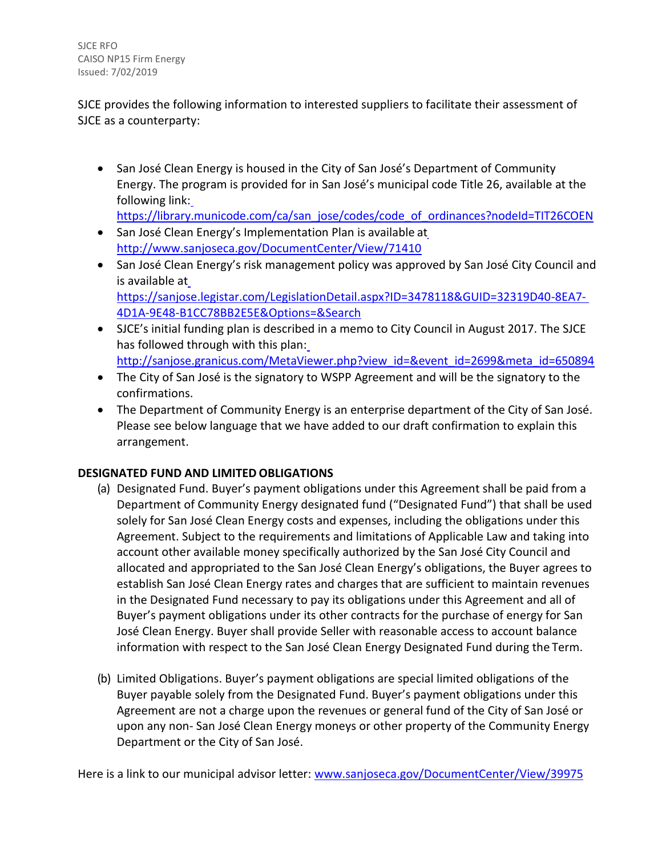SJCE RFO CAISO NP15 Firm Energy Issued: 7/02/2019

SJCE provides the following information to interested suppliers to facilitate their assessment of SJCE as a counterparty:

• San José Clean Energy is housed in the City of San José's Department of Community Energy. The program is provided for in San José's municipal code Title 26, available at the following link:

[https://library.municode.com/ca/san\\_jose/codes/code\\_of\\_ordinances?nodeId=TIT26COEN](https://library.municode.com/ca/san_jose/codes/code_of_ordinances?nodeId=TIT26COEN)

- San José Clean Energy's Implemen[t](http://www.sanjoseca.gov/DocumentCenter/View/71410)ation Plan is available at <http://www.sanjoseca.gov/DocumentCenter/View/71410>
- San José Clean Energy's risk management policy was approved by San José City Council and is available a[t](https://sanjose.legistar.com/LegislationDetail.aspx?ID=3478118&GUID=32319D40-8EA7-4D1A-9E48-B1CC78BB2E5E&Options&Search) [https://sanjose.legistar.com/LegislationDetail.aspx?ID=3478118&GUID=32319D40-8EA7-](https://sanjose.legistar.com/LegislationDetail.aspx?ID=3478118&GUID=32319D40-8EA7-4D1A-9E48-B1CC78BB2E5E&Options&Search) [4D1A-9E48-B1CC78BB2E5E&Options=&Search](https://sanjose.legistar.com/LegislationDetail.aspx?ID=3478118&GUID=32319D40-8EA7-4D1A-9E48-B1CC78BB2E5E&Options&Search)
- SJCE's initial funding plan is described in a memo to City Council in August 2017. The SJCE has followed through with this plan: [http://sanjose.granicus.com/MetaViewer.php?view\\_id=&event\\_id=2699&meta\\_id=650894](http://sanjose.granicus.com/MetaViewer.php?view_id&event_id=2699&meta_id=650894)
- The City of San José is the signatory to WSPP Agreement and will be the signatory to the confirmations.
- The Department of Community Energy is an enterprise department of the City of San José. Please see below language that we have added to our draft confirmation to explain this arrangement.

# **DESIGNATED FUND AND LIMITED OBLIGATIONS**

- (a) Designated Fund. Buyer's payment obligations under this Agreement shall be paid from a Department of Community Energy designated fund ("Designated Fund") that shall be used solely for San José Clean Energy costs and expenses, including the obligations under this Agreement. Subject to the requirements and limitations of Applicable Law and taking into account other available money specifically authorized by the San José City Council and allocated and appropriated to the San José Clean Energy's obligations, the Buyer agrees to establish San José Clean Energy rates and charges that are sufficient to maintain revenues in the Designated Fund necessary to pay its obligations under this Agreement and all of Buyer's payment obligations under its other contracts for the purchase of energy for San José Clean Energy. Buyer shall provide Seller with reasonable access to account balance information with respect to the San José Clean Energy Designated Fund during the Term.
- (b) Limited Obligations. Buyer's payment obligations are special limited obligations of the Buyer payable solely from the Designated Fund. Buyer's payment obligations under this Agreement are not a charge upon the revenues or general fund of the City of San José or upon any non- San José Clean Energy moneys or other property of the Community Energy Department or the City of San José.

Here is a link to our municipal advisor letter: [www.sanjoseca.gov/DocumentCenter/View/39975](http://www.sanjoseca.gov/DocumentCenter/View/39975)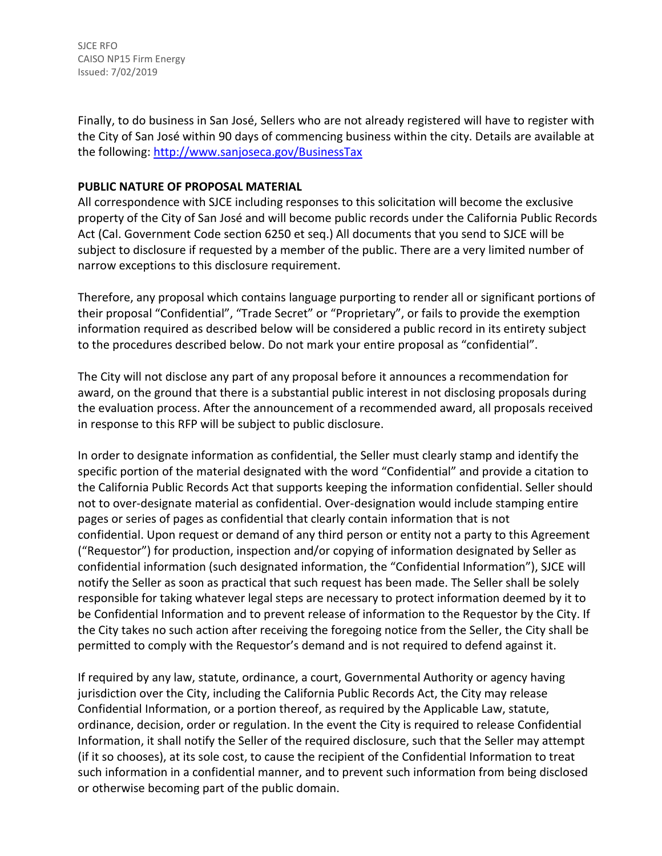SJCE RFO CAISO NP15 Firm Energy Issued: 7/02/2019

Finally, to do business in San José, Sellers who are not already registered will have to register with the City of San José within 90 days of commencing business within the city. Details are available at the following:<http://www.sanjoseca.gov/BusinessTax>

### **PUBLIC NATURE OF PROPOSAL MATERIAL**

All correspondence with SJCE including responses to this solicitation will become the exclusive property of the City of San José and will become public records under the California Public Records Act (Cal. Government Code section 6250 et seq.) All documents that you send to SJCE will be subject to disclosure if requested by a member of the public. There are a very limited number of narrow exceptions to this disclosure requirement.

Therefore, any proposal which contains language purporting to render all or significant portions of their proposal "Confidential", "Trade Secret" or "Proprietary", or fails to provide the exemption information required as described below will be considered a public record in its entirety subject to the procedures described below. Do not mark your entire proposal as "confidential".

The City will not disclose any part of any proposal before it announces a recommendation for award, on the ground that there is a substantial public interest in not disclosing proposals during the evaluation process. After the announcement of a recommended award, all proposals received in response to this RFP will be subject to public disclosure.

In order to designate information as confidential, the Seller must clearly stamp and identify the specific portion of the material designated with the word "Confidential" and provide a citation to the California Public Records Act that supports keeping the information confidential. Seller should not to over-designate material as confidential. Over-designation would include stamping entire pages or series of pages as confidential that clearly contain information that is not confidential. Upon request or demand of any third person or entity not a party to this Agreement ("Requestor") for production, inspection and/or copying of information designated by Seller as confidential information (such designated information, the "Confidential Information"), SJCE will notify the Seller as soon as practical that such request has been made. The Seller shall be solely responsible for taking whatever legal steps are necessary to protect information deemed by it to be Confidential Information and to prevent release of information to the Requestor by the City. If the City takes no such action after receiving the foregoing notice from the Seller, the City shall be permitted to comply with the Requestor's demand and is not required to defend against it.

If required by any law, statute, ordinance, a court, Governmental Authority or agency having jurisdiction over the City, including the California Public Records Act, the City may release Confidential Information, or a portion thereof, as required by the Applicable Law, statute, ordinance, decision, order or regulation. In the event the City is required to release Confidential Information, it shall notify the Seller of the required disclosure, such that the Seller may attempt (if it so chooses), at its sole cost, to cause the recipient of the Confidential Information to treat such information in a confidential manner, and to prevent such information from being disclosed or otherwise becoming part of the public domain.